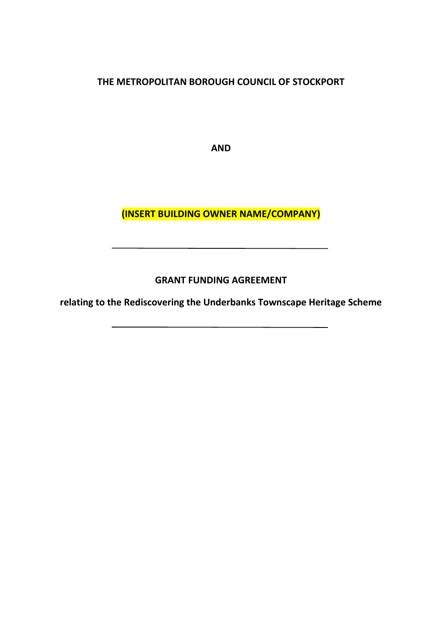**THE METROPOLITAN BOROUGH COUNCIL OF STOCKPORT**

**AND**

**(INSERT BUILDING OWNER NAME/COMPANY)**

**GRANT FUNDING AGREEMENT**

**relating to the Rediscovering the Underbanks Townscape Heritage Scheme**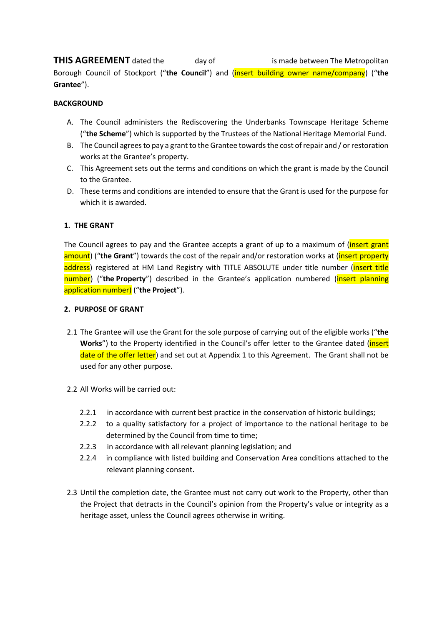**THIS AGREEMENT** dated the day of **is made between The Metropolitan** Borough Council of Stockport ("**the Council**") and (insert building owner name/company) ("**the Grantee**").

## **BACKGROUND**

- A. The Council administers the Rediscovering the Underbanks Townscape Heritage Scheme ("**the Scheme**") which is supported by the Trustees of the National Heritage Memorial Fund.
- B. The Council agrees to pay a grant to the Grantee towards the cost of repair and / or restoration works at the Grantee's property.
- C. This Agreement sets out the terms and conditions on which the grant is made by the Council to the Grantee.
- D. These terms and conditions are intended to ensure that the Grant is used for the purpose for which it is awarded.

## **1. THE GRANT**

The Council agrees to pay and the Grantee accepts a grant of up to a maximum of (*insert grant* amount) ("the Grant") towards the cost of the repair and/or restoration works at (*insert property* address) registered at HM Land Registry with TITLE ABSOLUTE under title number (*insert title* number) ("**the Property**") described in the Grantee's application numbered (insert planning application number) ("**the Project**").

## **2. PURPOSE OF GRANT**

- 2.1 The Grantee will use the Grant for the sole purpose of carrying out of the eligible works ("**the** Works") to the Property identified in the Council's offer letter to the Grantee dated (*insert* date of the offer letter) and set out at Appendix 1 to this Agreement. The Grant shall not be used for any other purpose.
- 2.2 All Works will be carried out:
	- 2.2.1 in accordance with current best practice in the conservation of historic buildings;
	- 2.2.2 to a quality satisfactory for a project of importance to the national heritage to be determined by the Council from time to time;
	- 2.2.3 in accordance with all relevant planning legislation; and
	- 2.2.4 in compliance with listed building and Conservation Area conditions attached to the relevant planning consent.
- 2.3 Until the completion date, the Grantee must not carry out work to the Property, other than the Project that detracts in the Council's opinion from the Property's value or integrity as a heritage asset, unless the Council agrees otherwise in writing.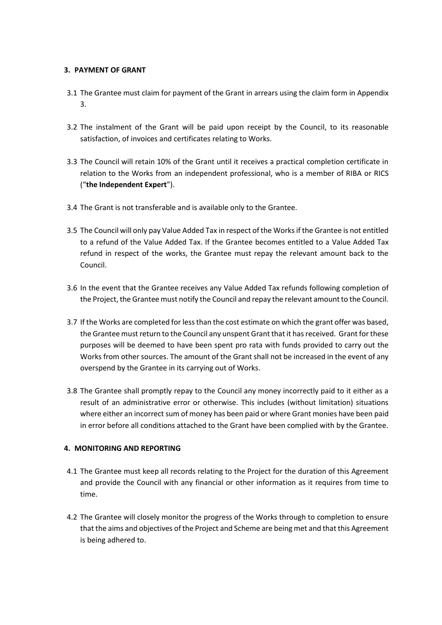## **3. PAYMENT OF GRANT**

- 3.1 The Grantee must claim for payment of the Grant in arrears using the claim form in Appendix 3.
- 3.2 The instalment of the Grant will be paid upon receipt by the Council, to its reasonable satisfaction, of invoices and certificates relating to Works.
- 3.3 The Council will retain 10% of the Grant until it receives a practical completion certificate in relation to the Works from an independent professional, who is a member of RIBA or RICS ("**the Independent Expert**").
- 3.4 The Grant is not transferable and is available only to the Grantee.
- 3.5 The Council will only pay Value Added Tax in respect of the Works if the Grantee is not entitled to a refund of the Value Added Tax. If the Grantee becomes entitled to a Value Added Tax refund in respect of the works, the Grantee must repay the relevant amount back to the Council.
- 3.6 In the event that the Grantee receives any Value Added Tax refunds following completion of the Project, the Grantee must notify the Council and repay the relevant amount to the Council.
- 3.7 If the Works are completed for less than the cost estimate on which the grant offer was based, the Grantee must return to the Council any unspent Grant that it has received. Grant for these purposes will be deemed to have been spent pro rata with funds provided to carry out the Works from other sources. The amount of the Grant shall not be increased in the event of any overspend by the Grantee in its carrying out of Works.
- 3.8 The Grantee shall promptly repay to the Council any money incorrectly paid to it either as a result of an administrative error or otherwise. This includes (without limitation) situations where either an incorrect sum of money has been paid or where Grant monies have been paid in error before all conditions attached to the Grant have been complied with by the Grantee.

## **4. MONITORING AND REPORTING**

- 4.1 The Grantee must keep all records relating to the Project for the duration of this Agreement and provide the Council with any financial or other information as it requires from time to time.
- 4.2 The Grantee will closely monitor the progress of the Works through to completion to ensure that the aims and objectives of the Project and Scheme are being met and that this Agreement is being adhered to.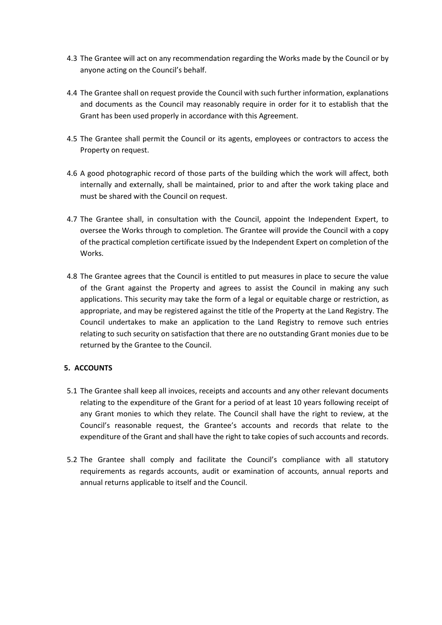- 4.3 The Grantee will act on any recommendation regarding the Works made by the Council or by anyone acting on the Council's behalf.
- 4.4 The Grantee shall on request provide the Council with such further information, explanations and documents as the Council may reasonably require in order for it to establish that the Grant has been used properly in accordance with this Agreement.
- 4.5 The Grantee shall permit the Council or its agents, employees or contractors to access the Property on request.
- 4.6 A good photographic record of those parts of the building which the work will affect, both internally and externally, shall be maintained, prior to and after the work taking place and must be shared with the Council on request.
- 4.7 The Grantee shall, in consultation with the Council, appoint the Independent Expert, to oversee the Works through to completion. The Grantee will provide the Council with a copy of the practical completion certificate issued by the Independent Expert on completion of the Works.
- 4.8 The Grantee agrees that the Council is entitled to put measures in place to secure the value of the Grant against the Property and agrees to assist the Council in making any such applications. This security may take the form of a legal or equitable charge or restriction, as appropriate, and may be registered against the title of the Property at the Land Registry. The Council undertakes to make an application to the Land Registry to remove such entries relating to such security on satisfaction that there are no outstanding Grant monies due to be returned by the Grantee to the Council.

## **5. ACCOUNTS**

- 5.1 The Grantee shall keep all invoices, receipts and accounts and any other relevant documents relating to the expenditure of the Grant for a period of at least 10 years following receipt of any Grant monies to which they relate. The Council shall have the right to review, at the Council's reasonable request, the Grantee's accounts and records that relate to the expenditure of the Grant and shall have the right to take copies of such accounts and records.
- 5.2 The Grantee shall comply and facilitate the Council's compliance with all statutory requirements as regards accounts, audit or examination of accounts, annual reports and annual returns applicable to itself and the Council.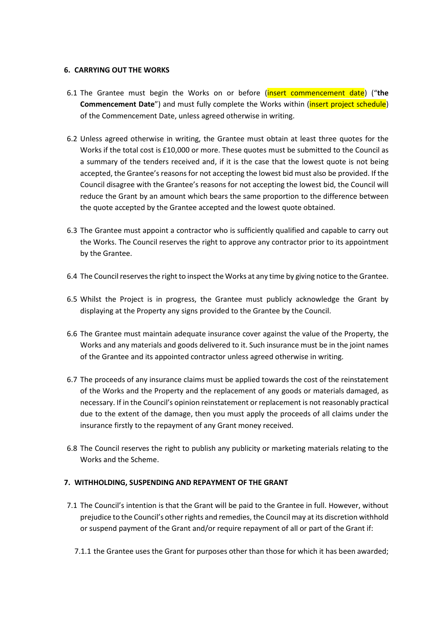## **6. CARRYING OUT THE WORKS**

- 6.1 The Grantee must begin the Works on or before (insert commencement date) ("**the Commencement Date**") and must fully complete the Works within (*insert project schedule*) of the Commencement Date, unless agreed otherwise in writing.
- 6.2 Unless agreed otherwise in writing, the Grantee must obtain at least three quotes for the Works if the total cost is £10,000 or more. These quotes must be submitted to the Council as a summary of the tenders received and, if it is the case that the lowest quote is not being accepted, the Grantee's reasons for not accepting the lowest bid must also be provided. If the Council disagree with the Grantee's reasons for not accepting the lowest bid, the Council will reduce the Grant by an amount which bears the same proportion to the difference between the quote accepted by the Grantee accepted and the lowest quote obtained.
- 6.3 The Grantee must appoint a contractor who is sufficiently qualified and capable to carry out the Works. The Council reserves the right to approve any contractor prior to its appointment by the Grantee.
- 6.4 The Council reserves the right to inspect the Works at any time by giving notice to the Grantee.
- 6.5 Whilst the Project is in progress, the Grantee must publicly acknowledge the Grant by displaying at the Property any signs provided to the Grantee by the Council.
- 6.6 The Grantee must maintain adequate insurance cover against the value of the Property, the Works and any materials and goods delivered to it. Such insurance must be in the joint names of the Grantee and its appointed contractor unless agreed otherwise in writing.
- 6.7 The proceeds of any insurance claims must be applied towards the cost of the reinstatement of the Works and the Property and the replacement of any goods or materials damaged, as necessary. If in the Council's opinion reinstatement or replacement is not reasonably practical due to the extent of the damage, then you must apply the proceeds of all claims under the insurance firstly to the repayment of any Grant money received.
- 6.8 The Council reserves the right to publish any publicity or marketing materials relating to the Works and the Scheme.

## **7. WITHHOLDING, SUSPENDING AND REPAYMENT OF THE GRANT**

- 7.1 The Council's intention is that the Grant will be paid to the Grantee in full. However, without prejudice to the Council's other rights and remedies, the Council may at its discretion withhold or suspend payment of the Grant and/or require repayment of all or part of the Grant if:
	- 7.1.1 the Grantee uses the Grant for purposes other than those for which it has been awarded;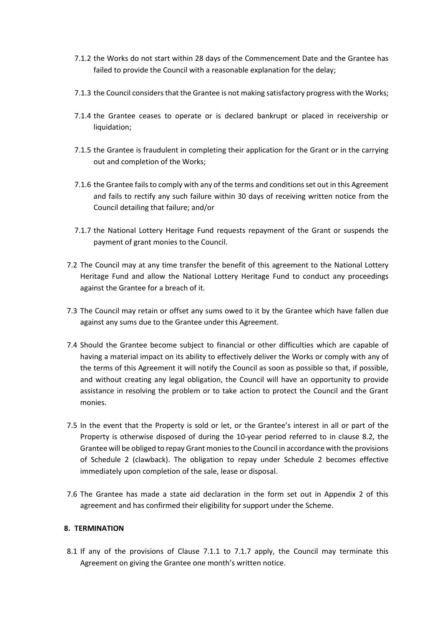- 7.1.2 the Works do not start within 28 days of the Commencement Date and the Grantee has failed to provide the Council with a reasonable explanation for the delay;
- 7.1.3 the Council considers that the Grantee is not making satisfactory progress with the Works;
- 7.1.4 the Grantee ceases to operate or is declared bankrupt or placed in receivership or liquidation;
- 7.1.5 the Grantee is fraudulent in completing their application for the Grant or in the carrying out and completion of the Works;
- 7.1.6 the Grantee fails to comply with any of the terms and conditions set out in this Agreement and fails to rectify any such failure within 30 days of receiving written notice from the Council detailing that failure; and/or
- 7.1.7 the National Lottery Heritage Fund requests repayment of the Grant or suspends the payment of grant monies to the Council.
- 7.2 The Council may at any time transfer the benefit of this agreement to the National Lottery Heritage Fund and allow the National Lottery Heritage Fund to conduct any proceedings against the Grantee for a breach of it.
- 7.3 The Council may retain or offset any sums owed to it by the Grantee which have fallen due against any sums due to the Grantee under this Agreement.
- 7.4 Should the Grantee become subject to financial or other difficulties which are capable of having a material impact on its ability to effectively deliver the Works or comply with any of the terms of this Agreement it will notify the Council as soon as possible so that, if possible, and without creating any legal obligation, the Council will have an opportunity to provide assistance in resolving the problem or to take action to protect the Council and the Grant monies.
- 7.5 In the event that the Property is sold or let, or the Grantee's interest in all or part of the Property is otherwise disposed of during the 10-year period referred to in clause [8.2,](#page-6-0) the Grantee will be obliged to repay Grant monies to the Council in accordance with the provisions of Schedule 2 (clawback). The obligation to repay under Schedule 2 becomes effective immediately upon completion of the sale, lease or disposal.
- 7.6 The Grantee has made a state aid declaration in the form set out in Appendix 2 of this agreement and has confirmed their eligibility for support under the Scheme.

## **8. TERMINATION**

8.1 If any of the provisions of Clause 7.1.1 to 7.1.7 apply, the Council may terminate this Agreement on giving the Grantee one month's written notice.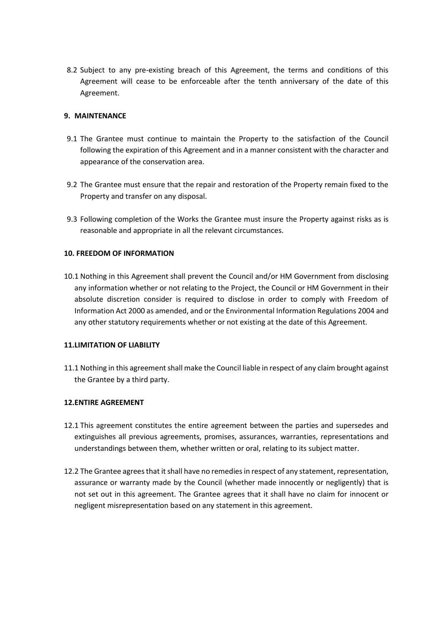<span id="page-6-0"></span>8.2 Subject to any pre-existing breach of this Agreement, the terms and conditions of this Agreement will cease to be enforceable after the tenth anniversary of the date of this Agreement.

## **9. MAINTENANCE**

- 9.1 The Grantee must continue to maintain the Property to the satisfaction of the Council following the expiration of this Agreement and in a manner consistent with the character and appearance of the conservation area.
- 9.2 The Grantee must ensure that the repair and restoration of the Property remain fixed to the Property and transfer on any disposal.
- 9.3 Following completion of the Works the Grantee must insure the Property against risks as is reasonable and appropriate in all the relevant circumstances.

## **10. FREEDOM OF INFORMATION**

10.1 Nothing in this Agreement shall prevent the Council and/or HM Government from disclosing any information whether or not relating to the Project, the Council or HM Government in their absolute discretion consider is required to disclose in order to comply with Freedom of Information Act 2000 as amended, and or the Environmental Information Regulations 2004 and any other statutory requirements whether or not existing at the date of this Agreement.

## **11.LIMITATION OF LIABILITY**

11.1 Nothing in this agreement shall make the Council liable in respect of any claim brought against the Grantee by a third party.

## **12.ENTIRE AGREEMENT**

- 12.1 This agreement constitutes the entire agreement between the parties and supersedes and extinguishes all previous agreements, promises, assurances, warranties, representations and understandings between them, whether written or oral, relating to its subject matter.
- 12.2 The Grantee agrees that it shall have no remedies in respect of any statement, representation, assurance or warranty made by the Council (whether made innocently or negligently) that is not set out in this agreement. The Grantee agrees that it shall have no claim for innocent or negligent misrepresentation based on any statement in this agreement.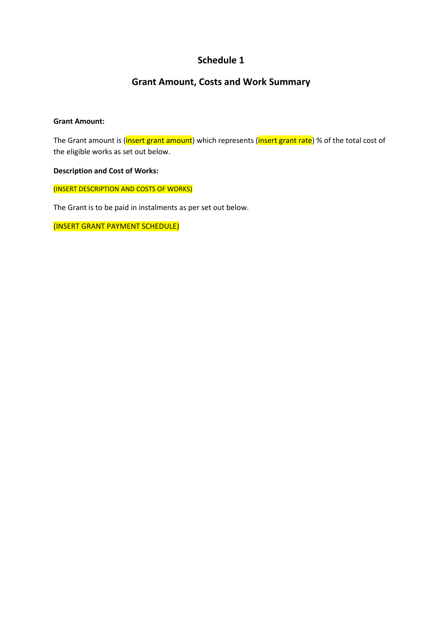# **Schedule 1**

# **Grant Amount, Costs and Work Summary**

## **Grant Amount:**

The Grant amount is (insert grant amount) which represents (insert grant rate) % of the total cost of the eligible works as set out below.

## **Description and Cost of Works:**

(INSERT DESCRIPTION AND COSTS OF WORKS)

The Grant is to be paid in instalments as per set out below.

(INSERT GRANT PAYMENT SCHEDULE)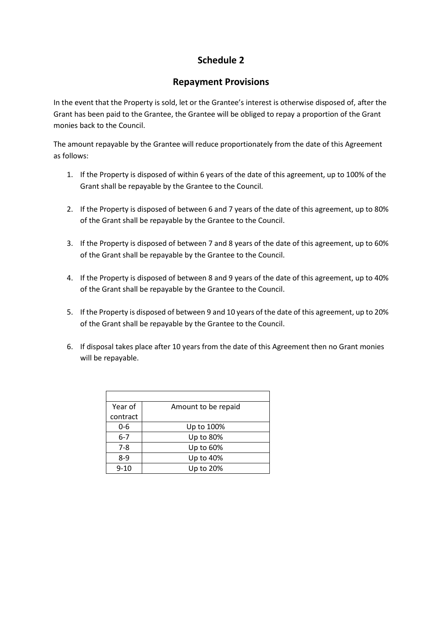# **Schedule 2**

## **Repayment Provisions**

In the event that the Property is sold, let or the Grantee's interest is otherwise disposed of, after the Grant has been paid to the Grantee, the Grantee will be obliged to repay a proportion of the Grant monies back to the Council.

The amount repayable by the Grantee will reduce proportionately from the date of this Agreement as follows:

- 1. If the Property is disposed of within 6 years of the date of this agreement, up to 100% of the Grant shall be repayable by the Grantee to the Council.
- 2. If the Property is disposed of between 6 and 7 years of the date of this agreement, up to 80% of the Grant shall be repayable by the Grantee to the Council.
- 3. If the Property is disposed of between 7 and 8 years of the date of this agreement, up to 60% of the Grant shall be repayable by the Grantee to the Council.
- 4. If the Property is disposed of between 8 and 9 years of the date of this agreement, up to 40% of the Grant shall be repayable by the Grantee to the Council.
- 5. If the Property is disposed of between 9 and 10 years of the date of this agreement, up to 20% of the Grant shall be repayable by the Grantee to the Council.
- 6. If disposal takes place after 10 years from the date of this Agreement then no Grant monies will be repayable.

| Year of  | Amount to be repaid |
|----------|---------------------|
| contract |                     |
| 0-6      | Up to 100%          |
| $6 - 7$  | Up to 80%           |
| $7 - 8$  | Up to 60%           |
| 8-9      | Up to 40%           |
| $9 - 10$ | Up to 20%           |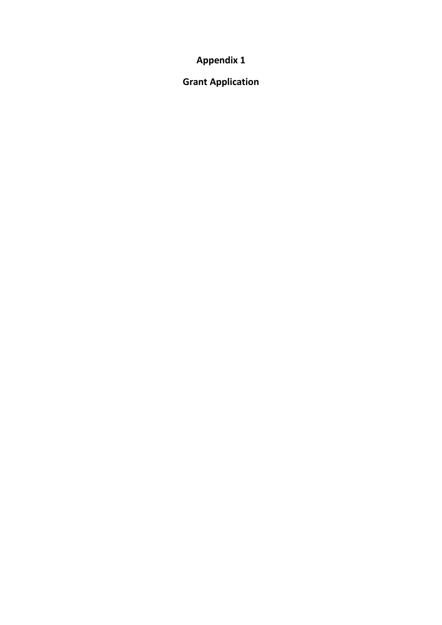**Appendix 1** 

**Grant Application**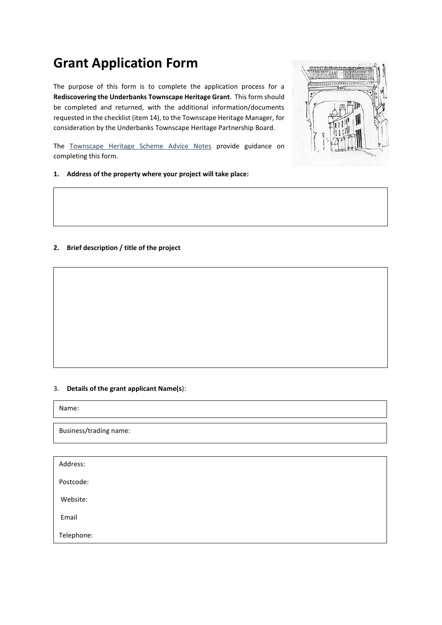# **Grant Application Form**

The purpose of this form is to complete the application process for a **Rediscovering the Underbanks Townscape Heritage Grant**. This form should be completed and returned, with the additional information/documents requested in the checklist (item 14), to the Townscape Heritage Manager, for consideration by the Underbanks Townscape Heritage Partnership Board.



The Townscape Heritage Scheme Advice Notes provide guidance on completing this form.

### **1. Address of the property where your project will take place:**

## **2. Brief description / title of the project**

### 3. **Details of the grant applicant Name(s**):

Name:

Business/trading name:

| Address:   |  |  |  |
|------------|--|--|--|
| Postcode:  |  |  |  |
| Website:   |  |  |  |
| Email      |  |  |  |
| Telephone: |  |  |  |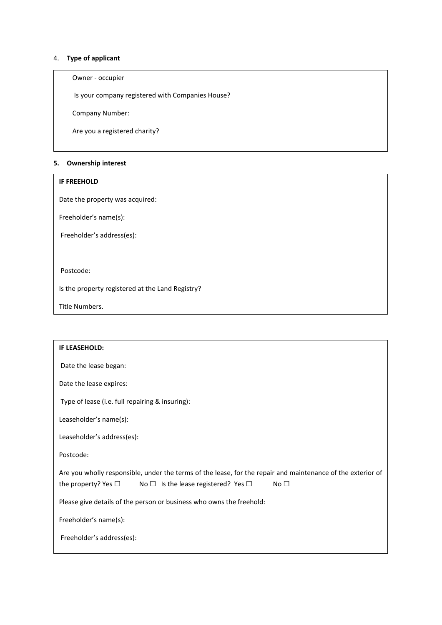## 4. **Type of applicant**

## Owner - occupier

Is your company registered with Companies House?

Company Number:

Are you a registered charity?

## **5. Ownership interest**

#### **IF FREEHOLD**

Date the property was acquired:

Freeholder's name(s):

Freeholder's address(es):

Postcode:

Is the property registered at the Land Registry?

Title Numbers.

| <b>IF LEASEHOLD:</b>                                                                                                                                                                                        |
|-------------------------------------------------------------------------------------------------------------------------------------------------------------------------------------------------------------|
| Date the lease began:                                                                                                                                                                                       |
| Date the lease expires:                                                                                                                                                                                     |
| Type of lease (i.e. full repairing & insuring):                                                                                                                                                             |
| Leaseholder's name(s):                                                                                                                                                                                      |
| Leaseholder's address(es):                                                                                                                                                                                  |
| Postcode:                                                                                                                                                                                                   |
| Are you wholly responsible, under the terms of the lease, for the repair and maintenance of the exterior of<br>the property? Yes $\Box$<br>No $\Box$ Is the lease registered? Yes $\Box$<br>No <sub>1</sub> |
| Please give details of the person or business who owns the freehold:                                                                                                                                        |
| Freeholder's name(s):                                                                                                                                                                                       |
| Freeholder's address(es):                                                                                                                                                                                   |
|                                                                                                                                                                                                             |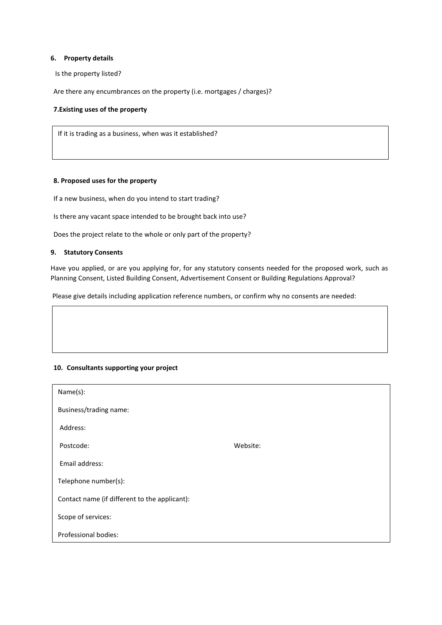#### **6. Property details**

Is the property listed?

Are there any encumbrances on the property (i.e. mortgages / charges)?

#### **7.Existing uses of the property**

If it is trading as a business, when was it established?

#### **8. Proposed uses for the property**

If a new business, when do you intend to start trading?

Is there any vacant space intended to be brought back into use?

Does the project relate to the whole or only part of the property?

#### **9. Statutory Consents**

Have you applied, or are you applying for, for any statutory consents needed for the proposed work, such as Planning Consent, Listed Building Consent, Advertisement Consent or Building Regulations Approval?

Please give details including application reference numbers, or confirm why no consents are needed:

#### **10. Consultants supporting your project**

| Name(s):                                      |          |
|-----------------------------------------------|----------|
| Business/trading name:                        |          |
| Address:                                      |          |
| Postcode:                                     | Website: |
| Email address:                                |          |
| Telephone number(s):                          |          |
| Contact name (if different to the applicant): |          |
| Scope of services:                            |          |
| Professional bodies:                          |          |
|                                               |          |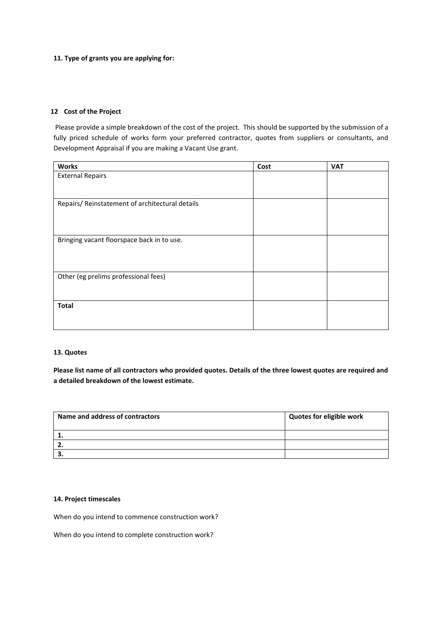#### **11. Type of grants you are applying for:**

#### **12 Cost of the Project**

Please provide a simple breakdown of the cost of the project. This should be supported by the submission of a fully priced schedule of works form your preferred contractor, quotes from suppliers or consultants, and Development Appraisal if you are making a Vacant Use grant.

| <b>Works</b>                                    | Cost | <b>VAT</b> |
|-------------------------------------------------|------|------------|
| <b>External Repairs</b>                         |      |            |
|                                                 |      |            |
|                                                 |      |            |
| Repairs/ Reinstatement of architectural details |      |            |
|                                                 |      |            |
|                                                 |      |            |
|                                                 |      |            |
| Bringing vacant floorspace back in to use.      |      |            |
|                                                 |      |            |
|                                                 |      |            |
| Other (eg prelims professional fees)            |      |            |
|                                                 |      |            |
|                                                 |      |            |
|                                                 |      |            |
| <b>Total</b>                                    |      |            |
|                                                 |      |            |
|                                                 |      |            |

#### **13. Quotes**

**Please list name of all contractors who provided quotes. Details of the three lowest quotes are required and a detailed breakdown of the lowest estimate.** 

| Name and address of contractors | <b>Quotes for eligible work</b> |
|---------------------------------|---------------------------------|
|                                 |                                 |
| 2.                              |                                 |
| . .                             |                                 |

### **14. Project timescales**

When do you intend to commence construction work?

When do you intend to complete construction work?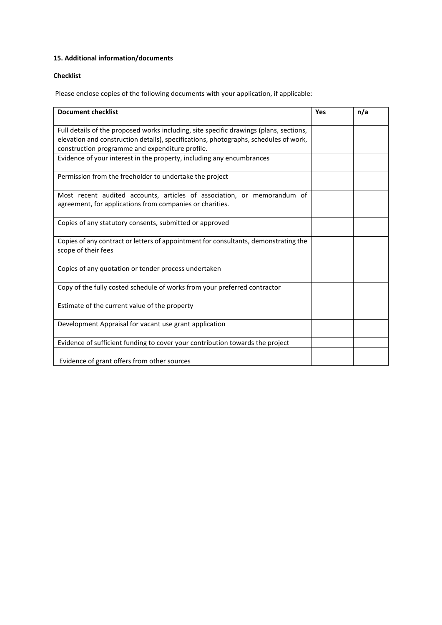## **15. Additional information/documents**

## **Checklist**

Please enclose copies of the following documents with your application, if applicable:

| <b>Document checklist</b>                                                                                                                                                                                                         | Yes | n/a |
|-----------------------------------------------------------------------------------------------------------------------------------------------------------------------------------------------------------------------------------|-----|-----|
| Full details of the proposed works including, site specific drawings (plans, sections,<br>elevation and construction details), specifications, photographs, schedules of work,<br>construction programme and expenditure profile. |     |     |
| Evidence of your interest in the property, including any encumbrances                                                                                                                                                             |     |     |
| Permission from the freeholder to undertake the project                                                                                                                                                                           |     |     |
| Most recent audited accounts, articles of association, or memorandum of<br>agreement, for applications from companies or charities.                                                                                               |     |     |
| Copies of any statutory consents, submitted or approved                                                                                                                                                                           |     |     |
| Copies of any contract or letters of appointment for consultants, demonstrating the<br>scope of their fees                                                                                                                        |     |     |
| Copies of any quotation or tender process undertaken                                                                                                                                                                              |     |     |
| Copy of the fully costed schedule of works from your preferred contractor                                                                                                                                                         |     |     |
| Estimate of the current value of the property                                                                                                                                                                                     |     |     |
| Development Appraisal for vacant use grant application                                                                                                                                                                            |     |     |
| Evidence of sufficient funding to cover your contribution towards the project                                                                                                                                                     |     |     |
| Evidence of grant offers from other sources                                                                                                                                                                                       |     |     |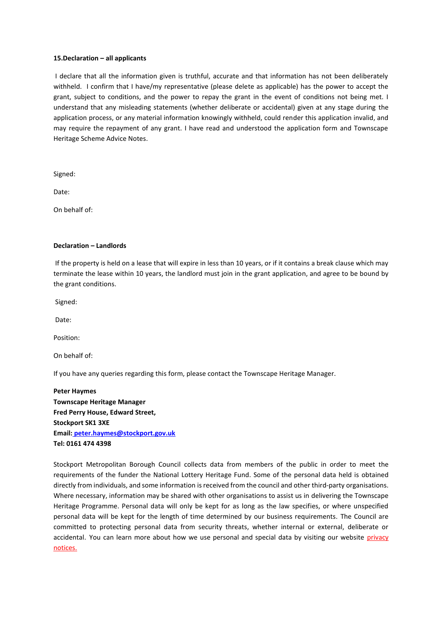#### **15.Declaration – all applicants**

I declare that all the information given is truthful, accurate and that information has not been deliberately withheld. I confirm that I have/my representative (please delete as applicable) has the power to accept the grant, subject to conditions, and the power to repay the grant in the event of conditions not being met. I understand that any misleading statements (whether deliberate or accidental) given at any stage during the application process, or any material information knowingly withheld, could render this application invalid, and may require the repayment of any grant. I have read and understood the application form and Townscape Heritage Scheme Advice Notes.

Signed:

Date:

On behalf of:

#### **Declaration – Landlords**

If the property is held on a lease that will expire in less than 10 years, or if it contains a break clause which may terminate the lease within 10 years, the landlord must join in the grant application, and agree to be bound by the grant conditions.

Signed:

Date:

Position:

On behalf of:

If you have any queries regarding this form, please contact the Townscape Heritage Manager.

**Peter Haymes Townscape Heritage Manager Fred Perry House, Edward Street, Stockport SK1 3XE Email: [peter.haymes@stockport.gov.uk](mailto:peter.haymes@stockport.gov.uk) Tel: 0161 474 4398**

Stockport Metropolitan Borough Council collects data from members of the public in order to meet the requirements of the funder the National Lottery Heritage Fund. Some of the personal data held is obtained directly from individuals, and some information is received from the council and other third-party organisations. Where necessary, information may be shared with other organisations to assist us in delivering the Townscape Heritage Programme. Personal data will only be kept for as long as the law specifies, or where unspecified personal data will be kept for the length of time determined by our business requirements. The Council are committed to protecting personal data from security threats, whether internal or external, deliberate or accidental. You can learn more about how we use personal and special data by visiting our website privacy notices.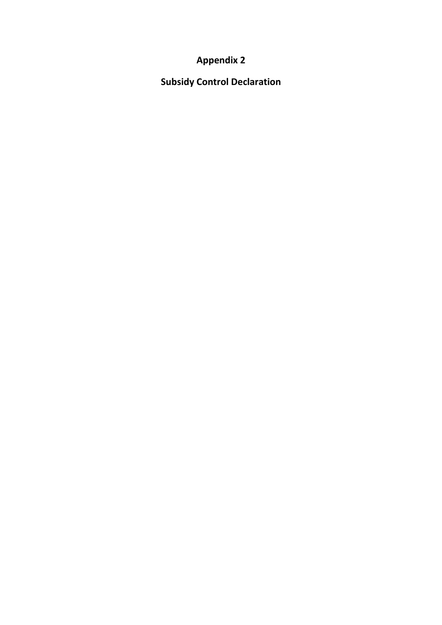# **Appendix 2**

**Subsidy Control Declaration**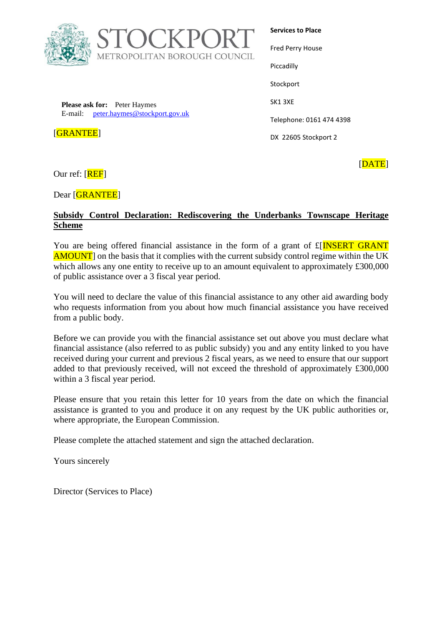

**Services to Place** Fred Perry House Piccadilly **Stockport** 

**Please ask for:** Peter Haymes E-mail: [peter.haymes@stockport.gov.uk](mailto:peter.haymes@stockport.gov.uk)

[GRANTEE]

Telephone: 0161 474 4398

DX 22605 Stockport 2

SK1 3XE

Our ref: [REF]

Dear [GRANTEE]

## **Subsidy Control Declaration: Rediscovering the Underbanks Townscape Heritage Scheme**

You are being offered financial assistance in the form of a grant of  $E[**INSERT** GRANT$ AMOUNT] on the basis that it complies with the current subsidy control regime within the UK which allows any one entity to receive up to an amount equivalent to approximately £300,000 of public assistance over a 3 fiscal year period.

You will need to declare the value of this financial assistance to any other aid awarding body who requests information from you about how much financial assistance you have received from a public body.

Before we can provide you with the financial assistance set out above you must declare what financial assistance (also referred to as public subsidy) you and any entity linked to you have received during your current and previous 2 fiscal years, as we need to ensure that our support added to that previously received, will not exceed the threshold of approximately £300,000 within a 3 fiscal year period.

Please ensure that you retain this letter for 10 years from the date on which the financial assistance is granted to you and produce it on any request by the UK public authorities or, where appropriate, the European Commission.

Please complete the attached statement and sign the attached declaration.

Yours sincerely

Director (Services to Place)

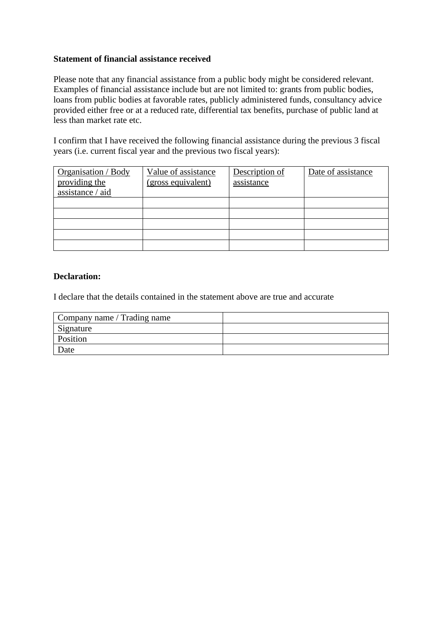## **Statement of financial assistance received**

Please note that any financial assistance from a public body might be considered relevant. Examples of financial assistance include but are not limited to: grants from public bodies, loans from public bodies at favorable rates, publicly administered funds, consultancy advice provided either free or at a reduced rate, differential tax benefits, purchase of public land at less than market rate etc.

I confirm that I have received the following financial assistance during the previous 3 fiscal years (i.e. current fiscal year and the previous two fiscal years):

| Organisation / Body | Value of assistance | Description of | Date of assistance |
|---------------------|---------------------|----------------|--------------------|
| providing the       | (gross equivalent)  | assistance     |                    |
| assistance / aid    |                     |                |                    |
|                     |                     |                |                    |
|                     |                     |                |                    |
|                     |                     |                |                    |
|                     |                     |                |                    |
|                     |                     |                |                    |

## **Declaration:**

I declare that the details contained in the statement above are true and accurate

| Company name / Trading name |  |
|-----------------------------|--|
| Signature                   |  |
| Position                    |  |
| Date                        |  |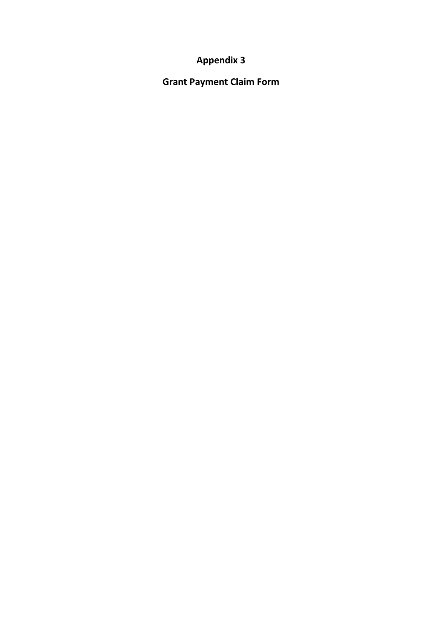# **Appendix 3**

**Grant Payment Claim Form**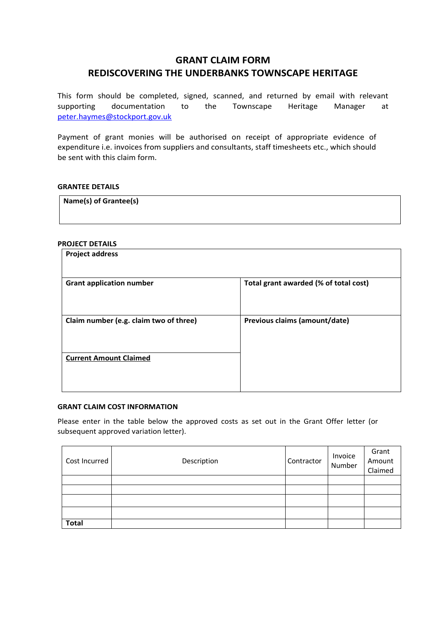# **GRANT CLAIM FORM REDISCOVERING THE UNDERBANKS TOWNSCAPE HERITAGE**

This form should be completed, signed, scanned, and returned by email with relevant supporting documentation to the Townscape Heritage Manager at [peter.haymes@stockport.gov.uk](mailto:peter.haymes@stockport.gov.uk)

Payment of grant monies will be authorised on receipt of appropriate evidence of expenditure i.e. invoices from suppliers and consultants, staff timesheets etc., which should be sent with this claim form.

## **GRANTEE DETAILS**

**Name(s) of Grantee(s)**

#### **PROJECT DETAILS**

| <b>Project address</b>                 |                                       |
|----------------------------------------|---------------------------------------|
| <b>Grant application number</b>        | Total grant awarded (% of total cost) |
| Claim number (e.g. claim two of three) | Previous claims (amount/date)         |
| <b>Current Amount Claimed</b>          |                                       |
|                                        |                                       |

#### **GRANT CLAIM COST INFORMATION**

Please enter in the table below the approved costs as set out in the Grant Offer letter (or subsequent approved variation letter).

| Cost Incurred | Description | Contractor | Invoice<br>Number | Grant<br>Amount<br>Claimed |
|---------------|-------------|------------|-------------------|----------------------------|
|               |             |            |                   |                            |
|               |             |            |                   |                            |
|               |             |            |                   |                            |
|               |             |            |                   |                            |
| <b>Total</b>  |             |            |                   |                            |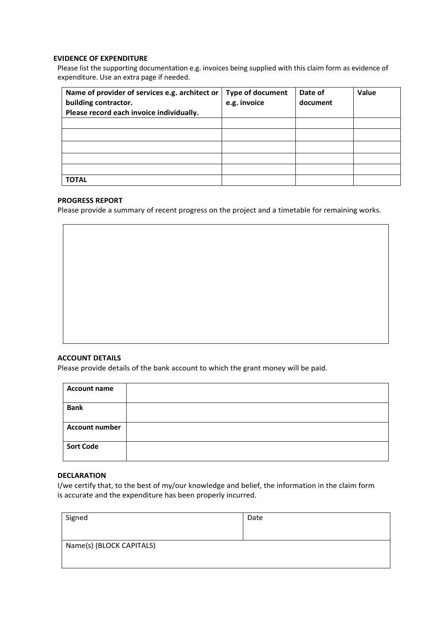#### **EVIDENCE OF EXPENDITURE**

Please list the supporting documentation e.g. invoices being supplied with this claim form as evidence of expenditure. Use an extra page if needed.

| Name of provider of services e.g. architect or<br>building contractor. | <b>Type of document</b><br>e.g. invoice | Date of<br>document | Value |
|------------------------------------------------------------------------|-----------------------------------------|---------------------|-------|
| Please record each invoice individually.                               |                                         |                     |       |
|                                                                        |                                         |                     |       |
|                                                                        |                                         |                     |       |
|                                                                        |                                         |                     |       |
|                                                                        |                                         |                     |       |
|                                                                        |                                         |                     |       |
| <b>TOTAL</b>                                                           |                                         |                     |       |

## **PROGRESS REPORT**

Please provide a summary of recent progress on the project and a timetable for remaining works.

#### **ACCOUNT DETAILS**

Please provide details of the bank account to which the grant money will be paid.

| <b>Account name</b>   |  |
|-----------------------|--|
| <b>Bank</b>           |  |
| <b>Account number</b> |  |
| <b>Sort Code</b>      |  |

#### **DECLARATION**

I/we certify that, to the best of my/our knowledge and belief, the information in the claim form is accurate and the expenditure has been properly incurred.

| Signed                   | Date |  |
|--------------------------|------|--|
|                          |      |  |
|                          |      |  |
| Name(s) (BLOCK CAPITALS) |      |  |
|                          |      |  |
|                          |      |  |